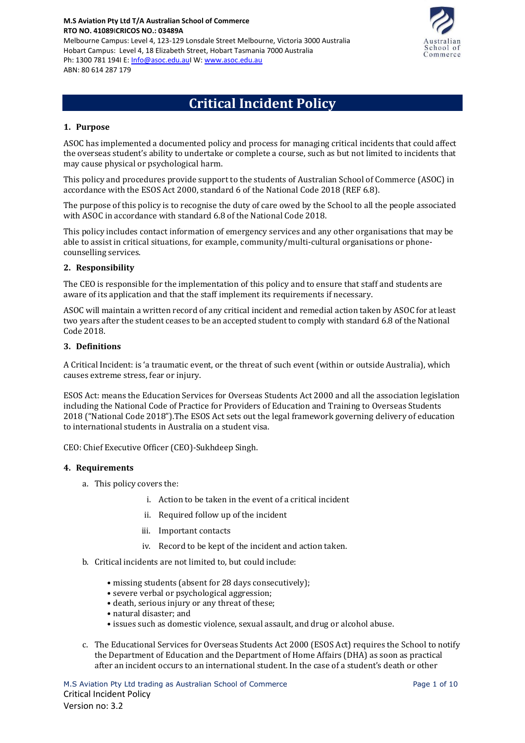**M.S Aviation Pty Ltd T/A Australian School of Commerce RTO NO. 41089**I**CRICOS NO.: 03489A** Melbourne Campus: Level 4, 123-129 Lonsdale Street Melbourne, Victoria 3000 Australia Hobart Campus: Level 4, 18 Elizabeth Street, Hobart Tasmania 7000 Australia Ph: 1300 781 194I E[: Info@asoc.edu.auI](mailto:Info@asoc.edu.au) W: [www.asoc.edu.au](http://www.asoc.edu.au/) ABN: 80 614 287 179



# **Critical Incident Policy**

## **1. Purpose**

ASOC has implemented a documented policy and process for managing critical incidents that could affect the overseas student's ability to undertake or complete a course, such as but not limited to incidents that may cause physical or psychological harm.

This policy and procedures provide support to the students of Australian School of Commerce (ASOC) in accordance with the ESOS Act 2000, standard 6 of the National Code 2018 (REF 6.8).

The purpose of this policy is to recognise the duty of care owed by the School to all the people associated with ASOC in accordance with standard 6.8 of the National Code 2018.

This policy includes contact information of emergency services and any other organisations that may be able to assist in critical situations, for example, community/multi-cultural organisations or phonecounselling services.

## **2. Responsibility**

The CEO is responsible for the implementation of this policy and to ensure that staff and students are aware of its application and that the staff implement its requirements if necessary.

ASOC will maintain a written record of any critical incident and remedial action taken by ASOC for at least two years after the student ceases to be an accepted student to comply with standard 6.8 of the National Code 2018.

#### **3. Definitions**

A Critical Incident: is 'a traumatic event, or the threat of such event (within or outside Australia), which causes extreme stress, fear or injury.

ESOS Act: means the Education Services for Overseas Students Act 2000 and all the association legislation including the National Code of Practice for Providers of Education and Training to Overseas Students 2018 ("National Code 2018").The ESOS Act sets out the legal framework governing delivery of education to international students in Australia on a student visa.

CEO: Chief Executive Officer (CEO)-Sukhdeep Singh.

#### **4. Requirements**

- a. This policy covers the:
	- i. Action to be taken in the event of a critical incident
	- ii. Required follow up of the incident
	- iii. Important contacts
	- iv. Record to be kept of the incident and action taken.
- b. Critical incidents are not limited to, but could include:
	- missing students (absent for 28 days consecutively);
	- severe verbal or psychological aggression;
	- death, serious injury or any threat of these;
	- natural disaster; and
	- issues such as domestic violence, sexual assault, and drug or alcohol abuse.
- c. The Educational Services for Overseas Students Act 2000 (ESOS Act) requires the School to notify the Department of Education and the Department of Home Affairs (DHA) as soon as practical after an incident occurs to an international student. In the case of a student's death or other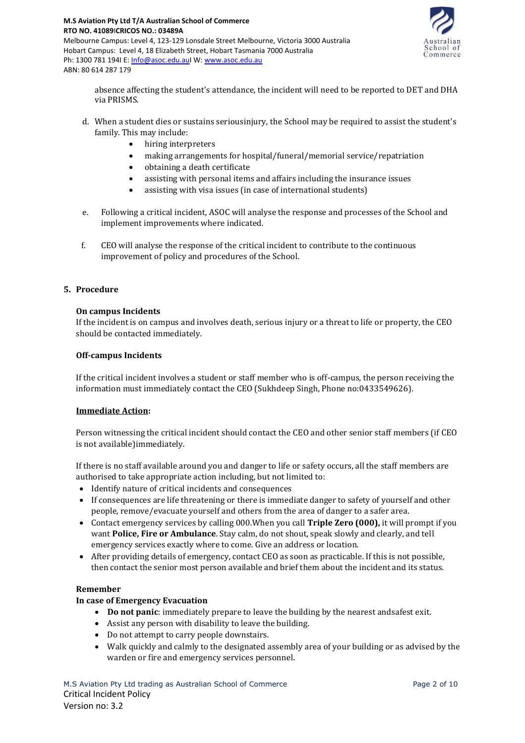



absence affecting the student's attendance, the incident will need to be reported to DET and DHA via PRISMS.

- d. When a student dies or sustains seriousinjury, the School may be required to assist the student's family. This may include:
	- hiring interpreters
	- making arrangements for hospital/funeral/memorial service/repatriation
	- obtaining a death certificate
	- assisting with personal items and affairs including the insurance issues
	- assisting with visa issues (in case of international students)
- e. Following a critical incident, ASOC will analyse the response and processes of the School and implement improvements where indicated.
- f. CEO will analyse the response of the critical incident to contribute to the continuous improvement of policy and procedures of the School.

## **5. Procedure**

## **On campus Incidents**

If the incident is on campus and involves death, serious injury or a threat to life or property, the CEO should be contacted immediately.

#### **Off-campus Incidents**

If the critical incident involves a student or staff member who is off-campus, the person receiving the information must immediately contact the CEO (Sukhdeep Singh, Phone no:0433549626).

## **Immediate Action:**

Person witnessing the critical incident should contact the CEO and other senior staff members (if CEO is not available)immediately.

If there is no staff available around you and danger to life or safety occurs, all the staff members are authorised to take appropriate action including, but not limited to:

- Identify nature of critical incidents and consequences
- If consequences are life threatening or there is immediate danger to safety of yourself and other people, remove/evacuate yourself and others from the area of danger to a safer area.
- Contact emergency services by calling 000.When you call **Triple Zero (000),** it will prompt if you want **Police, Fire or Ambulance**. Stay calm, do not shout, speak slowly and clearly, and tell emergency services exactly where to come. Give an address or location.
- After providing details of emergency, contact CEO as soon as practicable. If this is not possible, then contact the senior most person available and brief them about the incident and its status.

## **Remember**

## **In case of Emergency Evacuation**

- **Do not panic**: immediately prepare to leave the building by the nearest andsafest exit.
- Assist any person with disability to leave the building.
- Do not attempt to carry people downstairs.
- Walk quickly and calmly to the designated assembly area of your building or as advised by the warden or fire and emergency services personnel.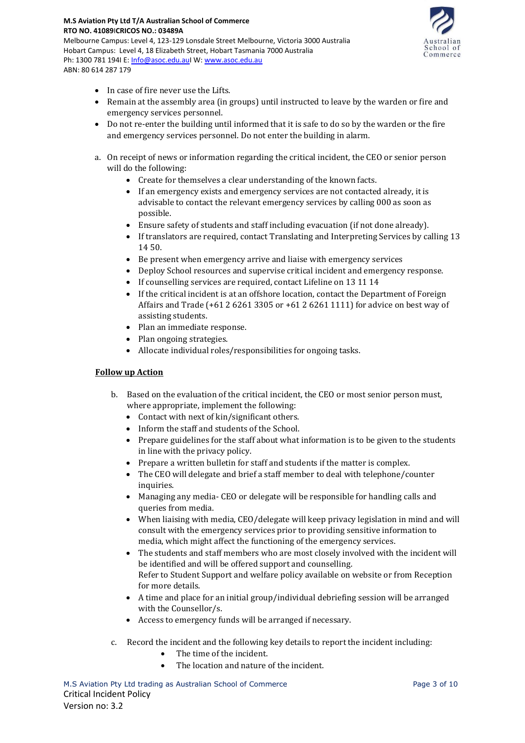

• In case of fire never use the Lifts.

Ph: 1300 781 194I E[: Info@asoc.edu.auI](mailto:Info@asoc.edu.au) W: [www.asoc.edu.au](http://www.asoc.edu.au/)

ABN: 80 614 287 179

- Remain at the assembly area (in groups) until instructed to leave by the warden or fire and emergency services personnel.
- Do not re-enter the building until informed that it is safe to do so by the warden or the fire and emergency services personnel. Do not enter the building in alarm.
- a. On receipt of news or information regarding the critical incident, the CEO or senior person will do the following:
	- Create for themselves a clear understanding of the known facts.
	- If an emergency exists and emergency services are not contacted already, it is advisable to contact the relevant emergency services by calling 000 as soon as possible.
	- Ensure safety of students and staff including evacuation (if not done already).
	- If translators are required, contact Translating and Interpreting Services by calling 13 14 50.
	- Be present when emergency arrive and liaise with emergency services
	- Deploy School resources and supervise critical incident and emergency response.
	- If counselling services are required, contact Lifeline on 13 11 14
	- If the critical incident is at an offshore location, contact the Department of Foreign Affairs and Trade (+61 2 6261 3305 or +61 2 6261 1111) for advice on best way of assisting students.
	- Plan an immediate response.
	- Plan ongoing strategies.
	- Allocate individual roles/responsibilities for ongoing tasks.

## **Follow up Action**

- b. Based on the evaluation of the critical incident, the CEO or most senior person must, where appropriate, implement the following:
	- Contact with next of kin/significant others.
	- Inform the staff and students of the School.
	- Prepare guidelines for the staff about what information is to be given to the students in line with the privacy policy.
	- Prepare a written bulletin for staff and students if the matter is complex.
	- The CEO will delegate and brief a staff member to deal with telephone/counter inquiries.
	- Managing any media- CEO or delegate will be responsible for handling calls and queries from media.
	- When liaising with media, CEO/delegate will keep privacy legislation in mind and will consult with the emergency services prior to providing sensitive information to media, which might affect the functioning of the emergency services.
	- The students and staff members who are most closely involved with the incident will be identified and will be offered support and counselling. Refer to Student Support and welfare policy available on website or from Reception for more details.
	- A time and place for an initial group/individual debriefing session will be arranged with the Counsellor/s.
	- Access to emergency funds will be arranged if necessary.
- c. Record the incident and the following key details to report the incident including:
	- The time of the incident.
	- The location and nature of the incident.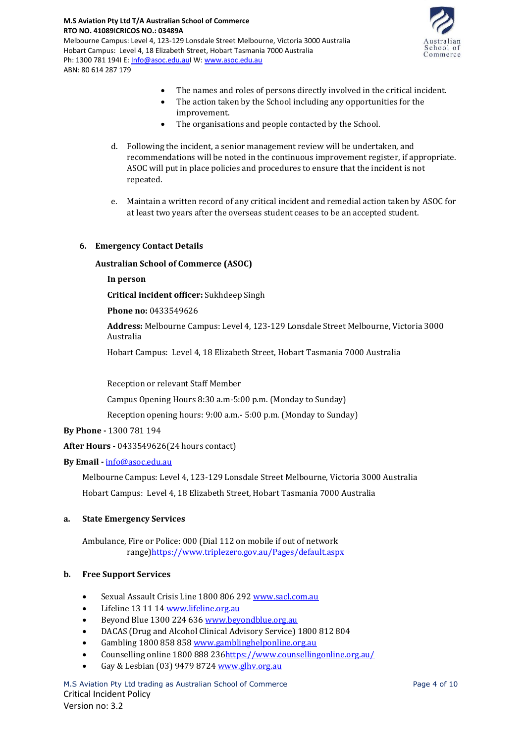

- The names and roles of persons directly involved in the critical incident.
- The action taken by the School including any opportunities for the improvement.
- The organisations and people contacted by the School.
- d. Following the incident, a senior management review will be undertaken, and recommendations will be noted in the continuous improvement register, if appropriate. ASOC will put in place policies and procedures to ensure that the incident is not repeated.
- e. Maintain a written record of any critical incident and remedial action taken by ASOC for at least two years after the overseas student ceases to be an accepted student.

## **6. Emergency Contact Details**

**Australian School of Commerce (ASOC)**

**In person**

**Critical incident officer:** Sukhdeep Singh

**Phone no:** 0433549626

**Address:** Melbourne Campus: Level 4, 123-129 Lonsdale Street Melbourne, Victoria 3000 Australia

Hobart Campus: Level 4, 18 Elizabeth Street, Hobart Tasmania 7000 Australia

Reception or relevant Staff Member

Campus Opening Hours 8:30 a.m-5:00 p.m. (Monday to Sunday)

Reception opening hours: 9:00 a.m.- 5:00 p.m. (Monday to Sunday)

**By Phone -** 1300 781 194

**After Hours -** 0433549626(24 hours contact)

# **By Email -** [info@asoc.edu.au](mailto:info@asoc.edu.au)

Melbourne Campus: Level 4, 123-129 Lonsdale Street Melbourne, Victoria 3000 Australia Hobart Campus: Level 4, 18 Elizabeth Street, Hobart Tasmania 7000 Australia

# **a. State Emergency Services**

Ambulance, Fire or Police: 000 (Dial 112 on mobile if out of network range[\)https://www.triplezero.gov.au/Pages/default.aspx](about:blank)

## **b. Free Support Services**

- Sexual Assault Crisis Line 1800 806 292 [www.sacl.com.au](about:blank)
- Lifeline 13 11 1[4 www.lifeline.org.au](about:blank)
- Beyond Blue 1300 224 63[6 www.beyondblue.org.au](about:blank)
- DACAS (Drug and Alcohol Clinical Advisory Service) 1800 812 804
- Gambling 1800 858 85[8 www.gamblinghelponline.org.au](about:blank)
- Counselling online 1800 888 23[6https://www.counsellingonline.org.au/](about:blank)
- Gay & Lesbian (03) 9479 8724 [www.glhv.org.au](about:blank)

M.S Aviation Pty Ltd trading as Australian School of Commerce Page 4 of 10 Critical Incident Policy Version no: 3.2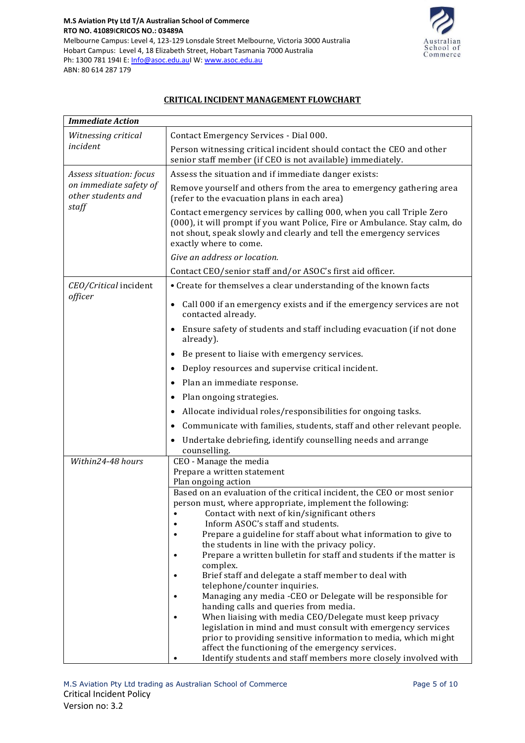

# **CRITICAL INCIDENT MANAGEMENT FLOWCHART**

| <b>Immediate Action</b>                                                 |                                                                                                                                                                                                                                                     |  |  |  |
|-------------------------------------------------------------------------|-----------------------------------------------------------------------------------------------------------------------------------------------------------------------------------------------------------------------------------------------------|--|--|--|
| Witnessing critical                                                     | Contact Emergency Services - Dial 000.                                                                                                                                                                                                              |  |  |  |
| incident                                                                | Person witnessing critical incident should contact the CEO and other<br>senior staff member (if CEO is not available) immediately.                                                                                                                  |  |  |  |
| Assess situation: focus<br>on immediate safety of<br>other students and | Assess the situation and if immediate danger exists:                                                                                                                                                                                                |  |  |  |
|                                                                         | Remove yourself and others from the area to emergency gathering area<br>(refer to the evacuation plans in each area)                                                                                                                                |  |  |  |
| staff                                                                   | Contact emergency services by calling 000, when you call Triple Zero<br>(000), it will prompt if you want Police, Fire or Ambulance. Stay calm, do<br>not shout, speak slowly and clearly and tell the emergency services<br>exactly where to come. |  |  |  |
|                                                                         | Give an address or location.                                                                                                                                                                                                                        |  |  |  |
|                                                                         | Contact CEO/senior staff and/or ASOC's first aid officer.                                                                                                                                                                                           |  |  |  |
| CEO/Critical incident                                                   | • Create for themselves a clear understanding of the known facts                                                                                                                                                                                    |  |  |  |
| officer                                                                 | Call 000 if an emergency exists and if the emergency services are not<br>contacted already.                                                                                                                                                         |  |  |  |
|                                                                         | • Ensure safety of students and staff including evacuation (if not done<br>already).                                                                                                                                                                |  |  |  |
|                                                                         | • Be present to liaise with emergency services.                                                                                                                                                                                                     |  |  |  |
|                                                                         | Deploy resources and supervise critical incident.                                                                                                                                                                                                   |  |  |  |
|                                                                         | Plan an immediate response.                                                                                                                                                                                                                         |  |  |  |
|                                                                         | Plan ongoing strategies.<br>$\bullet$                                                                                                                                                                                                               |  |  |  |
|                                                                         | Allocate individual roles/responsibilities for ongoing tasks.                                                                                                                                                                                       |  |  |  |
|                                                                         | Communicate with families, students, staff and other relevant people.                                                                                                                                                                               |  |  |  |
|                                                                         | • Undertake debriefing, identify counselling needs and arrange<br>counselling.                                                                                                                                                                      |  |  |  |
| Within24-48 hours                                                       | CEO - Manage the media                                                                                                                                                                                                                              |  |  |  |
|                                                                         | Prepare a written statement<br>Plan ongoing action                                                                                                                                                                                                  |  |  |  |
|                                                                         | Based on an evaluation of the critical incident, the CEO or most senior                                                                                                                                                                             |  |  |  |
|                                                                         | person must, where appropriate, implement the following:                                                                                                                                                                                            |  |  |  |
|                                                                         | Contact with next of kin/significant others                                                                                                                                                                                                         |  |  |  |
|                                                                         | Inform ASOC's staff and students.<br>Prepare a guideline for staff about what information to give to                                                                                                                                                |  |  |  |
|                                                                         | the students in line with the privacy policy.                                                                                                                                                                                                       |  |  |  |
|                                                                         | Prepare a written bulletin for staff and students if the matter is<br>$\bullet$                                                                                                                                                                     |  |  |  |
|                                                                         | complex.                                                                                                                                                                                                                                            |  |  |  |
|                                                                         | Brief staff and delegate a staff member to deal with<br>$\bullet$<br>telephone/counter inquiries.                                                                                                                                                   |  |  |  |
|                                                                         | Managing any media -CEO or Delegate will be responsible for                                                                                                                                                                                         |  |  |  |
|                                                                         | handing calls and queries from media.                                                                                                                                                                                                               |  |  |  |
|                                                                         | When liaising with media CEO/Delegate must keep privacy<br>٠<br>legislation in mind and must consult with emergency services                                                                                                                        |  |  |  |
|                                                                         | prior to providing sensitive information to media, which might                                                                                                                                                                                      |  |  |  |
|                                                                         | affect the functioning of the emergency services.                                                                                                                                                                                                   |  |  |  |
|                                                                         | Identify students and staff members more closely involved with                                                                                                                                                                                      |  |  |  |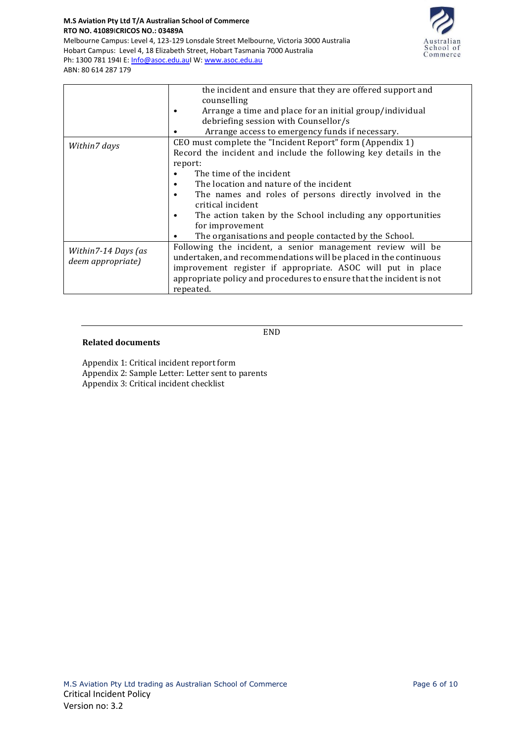

| RTO NO. 41089 CRICOS NO.: 03489A                                                      |
|---------------------------------------------------------------------------------------|
| Melbourne Campus: Level 4, 123-129 Lonsdale Street Melbourne, Victoria 3000 Australia |
| Hobart Campus: Level 4, 18 Elizabeth Street, Hobart Tasmania 7000 Australia           |
| Ph: 1300 781 1941 E: Info@asoc.edu.aul W: www.asoc.edu.au                             |
| ABN: 80 614 287 179                                                                   |

**M.S Aviation Pty Ltd T/A Australian School of Commerce**

|                                          | the incident and ensure that they are offered support and                                                                                                                                     |  |  |  |  |  |
|------------------------------------------|-----------------------------------------------------------------------------------------------------------------------------------------------------------------------------------------------|--|--|--|--|--|
|                                          | counselling                                                                                                                                                                                   |  |  |  |  |  |
|                                          | Arrange a time and place for an initial group/individual                                                                                                                                      |  |  |  |  |  |
|                                          | debriefing session with Counsellor/s                                                                                                                                                          |  |  |  |  |  |
|                                          | Arrange access to emergency funds if necessary.                                                                                                                                               |  |  |  |  |  |
| Within7 days                             | CEO must complete the "Incident Report" form (Appendix 1)                                                                                                                                     |  |  |  |  |  |
|                                          | Record the incident and include the following key details in the                                                                                                                              |  |  |  |  |  |
|                                          | report:                                                                                                                                                                                       |  |  |  |  |  |
|                                          | The time of the incident                                                                                                                                                                      |  |  |  |  |  |
|                                          | The location and nature of the incident<br>٠                                                                                                                                                  |  |  |  |  |  |
|                                          | The names and roles of persons directly involved in the<br>critical incident                                                                                                                  |  |  |  |  |  |
|                                          | The action taken by the School including any opportunities<br>for improvement                                                                                                                 |  |  |  |  |  |
|                                          | The organisations and people contacted by the School.                                                                                                                                         |  |  |  |  |  |
| Within7-14 Days (as<br>deem appropriate) | Following the incident, a senior management review will be<br>undertaken, and recommendations will be placed in the continuous<br>improvement register if appropriate. ASOC will put in place |  |  |  |  |  |
|                                          | appropriate policy and procedures to ensure that the incident is not<br>repeated.                                                                                                             |  |  |  |  |  |

END

## **Related documents**

Appendix 1: Critical incident report form Appendix 2: Sample Letter: Letter sent to parents

Appendix 3: Critical incident checklist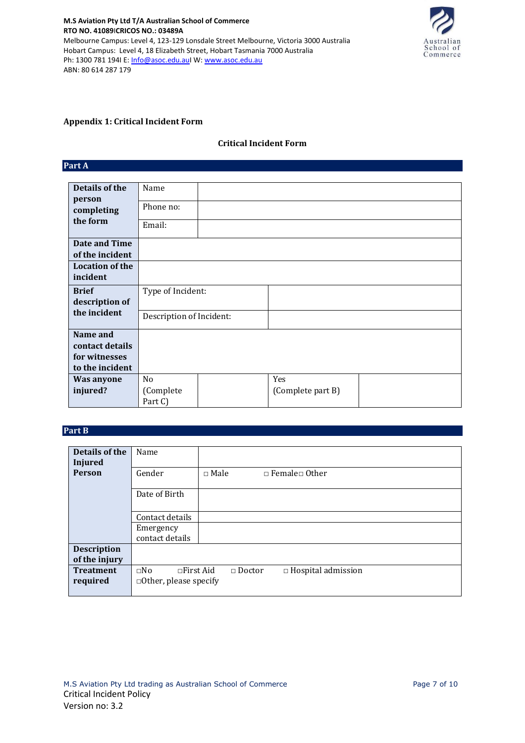**M.S Aviation Pty Ltd T/A Australian School of Commerce RTO NO. 41089**I**CRICOS NO.: 03489A** Melbourne Campus: Level 4, 123-129 Lonsdale Street Melbourne, Victoria 3000 Australia Hobart Campus: Level 4, 18 Elizabeth Street, Hobart Tasmania 7000 Australia Ph: 1300 781 1941 E[: Info@asoc.edu.auI](mailto:Info@asoc.edu.au) W: [www.asoc.edu.au](http://www.asoc.edu.au/) ABN: 80 614 287 179



## **Appendix 1: Critical Incident Form**

## **Critical Incident Form**

**Part A** 

| Details of the         | Name                     |  |                   |  |
|------------------------|--------------------------|--|-------------------|--|
| person<br>completing   | Phone no:                |  |                   |  |
| the form               | Email:                   |  |                   |  |
| Date and Time          |                          |  |                   |  |
| of the incident        |                          |  |                   |  |
| <b>Location of the</b> |                          |  |                   |  |
| incident               |                          |  |                   |  |
| <b>Brief</b>           | Type of Incident:        |  |                   |  |
| description of         |                          |  |                   |  |
| the incident           | Description of Incident: |  |                   |  |
| Name and               |                          |  |                   |  |
| contact details        |                          |  |                   |  |
| for witnesses          |                          |  |                   |  |
| to the incident        |                          |  |                   |  |
| Was anyone             | N <sub>o</sub>           |  | Yes               |  |
| injured?               | (Complete                |  | (Complete part B) |  |
|                        | Part C)                  |  |                   |  |

# **Part B**

| Details of the     | Name                             |               |                            |
|--------------------|----------------------------------|---------------|----------------------------|
| <b>Injured</b>     |                                  |               |                            |
|                    |                                  |               |                            |
| <b>Person</b>      | Gender                           | $\Box$ Male   | $\Box$ Female $\Box$ Other |
|                    |                                  |               |                            |
|                    | Date of Birth                    |               |                            |
|                    |                                  |               |                            |
|                    |                                  |               |                            |
|                    | Contact details                  |               |                            |
|                    | Emergency                        |               |                            |
|                    | contact details                  |               |                            |
|                    |                                  |               |                            |
| <b>Description</b> |                                  |               |                            |
| of the injury      |                                  |               |                            |
| <b>Treatment</b>   | $\square$ No<br>$\Box$ First Aid | $\Box$ Doctor | $\Box$ Hospital admission  |
|                    |                                  |               |                            |
| required           | $\Box$ Other, please specify     |               |                            |
|                    |                                  |               |                            |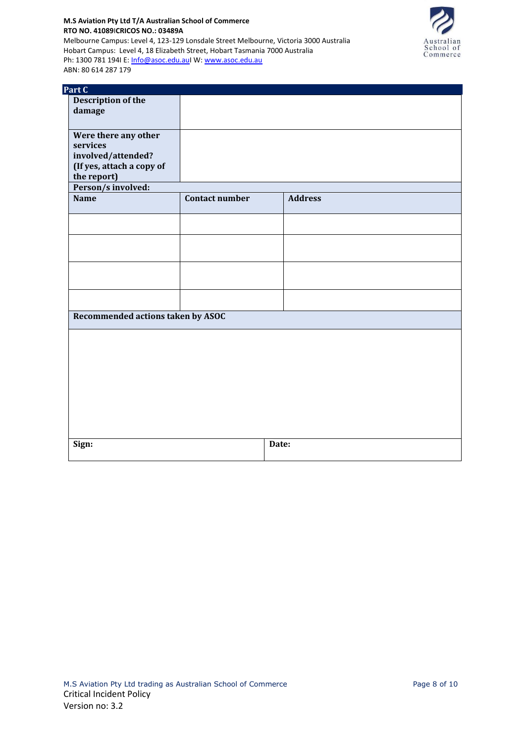**M.S Aviation Pty Ltd T/A Australian School of Commerce RTO NO. 41089**I**CRICOS NO.: 03489A** Melbourne Campus: Level 4, 123-129 Lonsdale Street Melbourne, Victoria 3000 Australia Hobart Campus: Level 4, 18 Elizabeth Street, Hobart Tasmania 7000 Australia Ph: 1300 781 1941 E[: Info@asoc.edu.auI](mailto:Info@asoc.edu.au) W: [www.asoc.edu.au](http://www.asoc.edu.au/) ABN: 80 614 287 179



| Part C                            |                                         |       |  |  |
|-----------------------------------|-----------------------------------------|-------|--|--|
| Description of the                |                                         |       |  |  |
| damage                            |                                         |       |  |  |
|                                   |                                         |       |  |  |
| Were there any other              |                                         |       |  |  |
| services                          |                                         |       |  |  |
| involved/attended?                |                                         |       |  |  |
| (If yes, attach a copy of         |                                         |       |  |  |
| the report)                       |                                         |       |  |  |
| Person/s involved:                |                                         |       |  |  |
| <b>Name</b>                       | <b>Contact number</b><br><b>Address</b> |       |  |  |
|                                   |                                         |       |  |  |
|                                   |                                         |       |  |  |
|                                   |                                         |       |  |  |
|                                   |                                         |       |  |  |
|                                   |                                         |       |  |  |
|                                   |                                         |       |  |  |
|                                   |                                         |       |  |  |
|                                   |                                         |       |  |  |
|                                   |                                         |       |  |  |
|                                   |                                         |       |  |  |
| Recommended actions taken by ASOC |                                         |       |  |  |
|                                   |                                         |       |  |  |
|                                   |                                         |       |  |  |
|                                   |                                         |       |  |  |
|                                   |                                         |       |  |  |
|                                   |                                         |       |  |  |
|                                   |                                         |       |  |  |
|                                   |                                         |       |  |  |
|                                   |                                         |       |  |  |
|                                   |                                         |       |  |  |
|                                   |                                         |       |  |  |
|                                   |                                         |       |  |  |
| Sign:                             |                                         | Date: |  |  |
|                                   |                                         |       |  |  |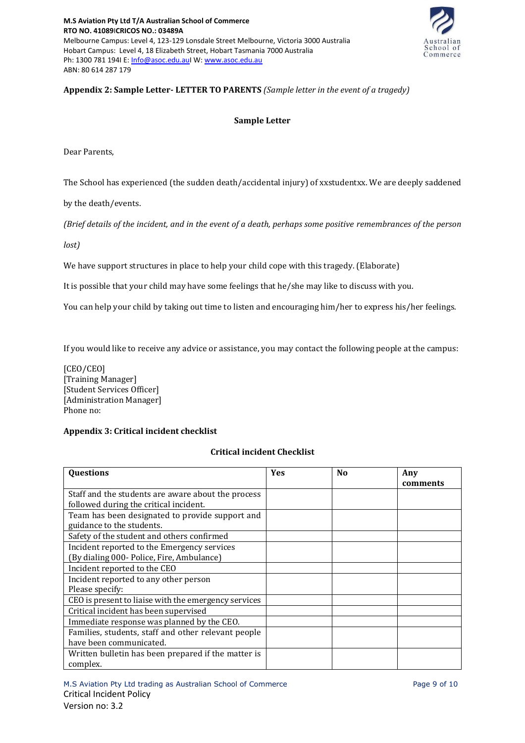

# **Appendix 2: Sample Letter- LETTER TO PARENTS** *(Sample letter in the event of a tragedy)*

## **Sample Letter**

Dear Parents,

The School has experienced (the sudden death/accidental injury) of xxstudentxx. We are deeply saddened

by the death/events.

*(Brief details of the incident, and in the event of a death, perhaps some positive remembrances of the person* 

*lost)*

We have support structures in place to help your child cope with this tragedy. (Elaborate)

It is possible that your child may have some feelings that he/she may like to discuss with you.

You can help your child by taking out time to listen and encouraging him/her to express his/her feelings.

If you would like to receive any advice or assistance, you may contact the following people at the campus:

[CEO/CEO] [Training Manager] [Student Services Officer] [Administration Manager] Phone no:

# **Appendix 3: Critical incident checklist**

# **Critical incident Checklist**

| Questions                                            | <b>Yes</b> | N <sub>0</sub> | Any<br>comments |
|------------------------------------------------------|------------|----------------|-----------------|
| Staff and the students are aware about the process   |            |                |                 |
| followed during the critical incident.               |            |                |                 |
| Team has been designated to provide support and      |            |                |                 |
| guidance to the students.                            |            |                |                 |
| Safety of the student and others confirmed           |            |                |                 |
| Incident reported to the Emergency services          |            |                |                 |
| (By dialing 000- Police, Fire, Ambulance)            |            |                |                 |
| Incident reported to the CEO                         |            |                |                 |
| Incident reported to any other person                |            |                |                 |
| Please specify:                                      |            |                |                 |
| CEO is present to liaise with the emergency services |            |                |                 |
| Critical incident has been supervised                |            |                |                 |
| Immediate response was planned by the CEO.           |            |                |                 |
| Families, students, staff and other relevant people  |            |                |                 |
| have been communicated.                              |            |                |                 |
| Written bulletin has been prepared if the matter is  |            |                |                 |
| complex.                                             |            |                |                 |